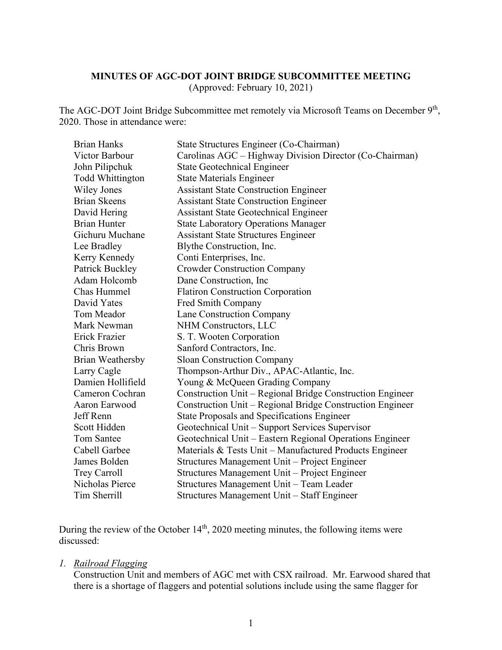### **MINUTES OF AGC-DOT JOINT BRIDGE SUBCOMMITTEE MEETING**

(Approved: February 10, 2021)

The AGC-DOT Joint Bridge Subcommittee met remotely via Microsoft Teams on December 9<sup>th</sup>, 2020. Those in attendance were:

| <b>Brian Hanks</b>      | State Structures Engineer (Co-Chairman)                   |
|-------------------------|-----------------------------------------------------------|
| Victor Barbour          | Carolinas AGC – Highway Division Director (Co-Chairman)   |
| John Pilipchuk          | <b>State Geotechnical Engineer</b>                        |
| <b>Todd Whittington</b> | <b>State Materials Engineer</b>                           |
| <b>Wiley Jones</b>      | <b>Assistant State Construction Engineer</b>              |
| <b>Brian Skeens</b>     | <b>Assistant State Construction Engineer</b>              |
| David Hering            | <b>Assistant State Geotechnical Engineer</b>              |
| <b>Brian Hunter</b>     | <b>State Laboratory Operations Manager</b>                |
| Gichuru Muchane         | <b>Assistant State Structures Engineer</b>                |
| Lee Bradley             | Blythe Construction, Inc.                                 |
| Kerry Kennedy           | Conti Enterprises, Inc.                                   |
| Patrick Buckley         | <b>Crowder Construction Company</b>                       |
| Adam Holcomb            | Dane Construction, Inc.                                   |
| Chas Hummel             | <b>Flatiron Construction Corporation</b>                  |
| David Yates             | Fred Smith Company                                        |
| Tom Meador              | Lane Construction Company                                 |
| Mark Newman             | NHM Constructors, LLC                                     |
| <b>Erick Frazier</b>    | S. T. Wooten Corporation                                  |
| Chris Brown             | Sanford Contractors, Inc.                                 |
| Brian Weathersby        | <b>Sloan Construction Company</b>                         |
| Larry Cagle             | Thompson-Arthur Div., APAC-Atlantic, Inc.                 |
| Damien Hollifield       | Young & McQueen Grading Company                           |
| Cameron Cochran         | Construction Unit – Regional Bridge Construction Engineer |
| Aaron Earwood           | Construction Unit – Regional Bridge Construction Engineer |
| Jeff Renn               | <b>State Proposals and Specifications Engineer</b>        |
| Scott Hidden            | Geotechnical Unit - Support Services Supervisor           |
| <b>Tom Santee</b>       | Geotechnical Unit – Eastern Regional Operations Engineer  |
| Cabell Garbee           | Materials & Tests Unit – Manufactured Products Engineer   |
| James Bolden            | Structures Management Unit - Project Engineer             |
| <b>Trey Carroll</b>     | Structures Management Unit – Project Engineer             |
| Nicholas Pierce         | Structures Management Unit - Team Leader                  |
| Tim Sherrill            | Structures Management Unit - Staff Engineer               |

During the review of the October  $14<sup>th</sup>$ , 2020 meeting minutes, the following items were discussed:

#### *1. Railroad Flagging*

Construction Unit and members of AGC met with CSX railroad. Mr. Earwood shared that there is a shortage of flaggers and potential solutions include using the same flagger for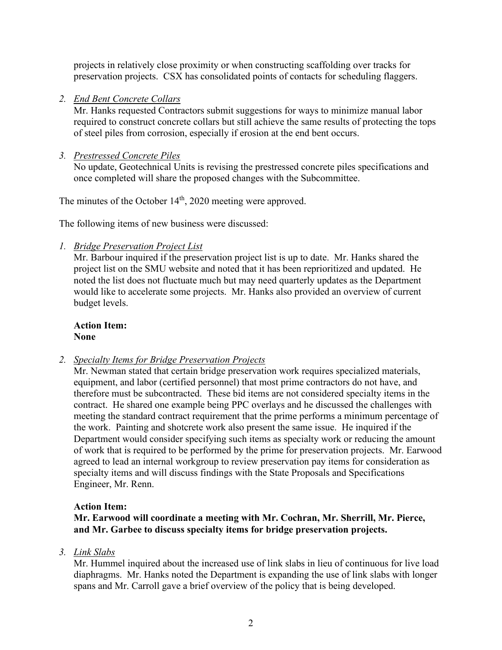projects in relatively close proximity or when constructing scaffolding over tracks for preservation projects. CSX has consolidated points of contacts for scheduling flaggers.

## *2. End Bent Concrete Collars*

Mr. Hanks requested Contractors submit suggestions for ways to minimize manual labor required to construct concrete collars but still achieve the same results of protecting the tops of steel piles from corrosion, especially if erosion at the end bent occurs.

## *3. Prestressed Concrete Piles*

No update, Geotechnical Units is revising the prestressed concrete piles specifications and once completed will share the proposed changes with the Subcommittee.

The minutes of the October 14<sup>th</sup>, 2020 meeting were approved.

The following items of new business were discussed:

## *1. Bridge Preservation Project List*

Mr. Barbour inquired if the preservation project list is up to date. Mr. Hanks shared the project list on the SMU website and noted that it has been reprioritized and updated. He noted the list does not fluctuate much but may need quarterly updates as the Department would like to accelerate some projects. Mr. Hanks also provided an overview of current budget levels.

**Action Item: None**

*2. Specialty Items for Bridge Preservation Projects*

Mr. Newman stated that certain bridge preservation work requires specialized materials, equipment, and labor (certified personnel) that most prime contractors do not have, and therefore must be subcontracted. These bid items are not considered specialty items in the contract. He shared one example being PPC overlays and he discussed the challenges with meeting the standard contract requirement that the prime performs a minimum percentage of the work. Painting and shotcrete work also present the same issue. He inquired if the Department would consider specifying such items as specialty work or reducing the amount of work that is required to be performed by the prime for preservation projects. Mr. Earwood agreed to lead an internal workgroup to review preservation pay items for consideration as specialty items and will discuss findings with the State Proposals and Specifications Engineer, Mr. Renn.

### **Action Item:**

**Mr. Earwood will coordinate a meeting with Mr. Cochran, Mr. Sherrill, Mr. Pierce, and Mr. Garbee to discuss specialty items for bridge preservation projects.**

*3. Link Slabs*

Mr. Hummel inquired about the increased use of link slabs in lieu of continuous for live load diaphragms. Mr. Hanks noted the Department is expanding the use of link slabs with longer spans and Mr. Carroll gave a brief overview of the policy that is being developed.